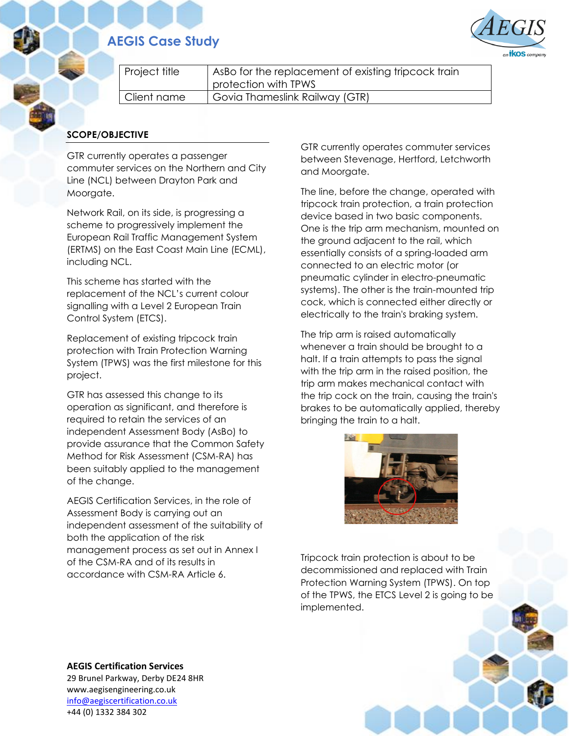# **AEGIS Case Study**



| Project title | AsBo for the replacement of existing tripcock train<br>protection with TPWS |
|---------------|-----------------------------------------------------------------------------|
| Client name   | Govia Thameslink Railway (GTR)                                              |

### **SCOPE/OBJECTIVE**

GTR currently operates a passenger commuter services on the Northern and City Line (NCL) between Drayton Park and Moorgate.

Network Rail, on its side, is progressing a scheme to progressively implement the European Rail Traffic Management System (ERTMS) on the East Coast Main Line (ECML), including NCL.

This scheme has started with the replacement of the NCL's current colour signalling with a Level 2 European Train Control System (ETCS).

Replacement of existing tripcock train protection with Train Protection Warning System (TPWS) was the first milestone for this project.

GTR has assessed this change to its operation as significant, and therefore is required to retain the services of an independent Assessment Body (AsBo) to provide assurance that the Common Safety Method for Risk Assessment (CSM-RA) has been suitably applied to the management of the change.

AEGIS Certification Services, in the role of Assessment Body is carrying out an independent assessment of the suitability of both the application of the risk management process as set out in Annex I of the CSM-RA and of its results in accordance with CSM-RA Article 6.

GTR currently operates commuter services between Stevenage, Hertford, Letchworth and Moorgate.

The line, before the change, operated with tripcock train protection, a train protection device based in two basic components. One is the trip arm mechanism, mounted on the ground adjacent to the rail, which essentially consists of a spring-loaded arm connected to an electric motor (or pneumatic cylinder in electro-pneumatic systems). The other is the train-mounted trip cock, which is connected either directly or electrically to the train's braking system.

The trip arm is raised automatically whenever a train should be brought to a halt. If a train attempts to pass the signal with the trip arm in the raised position, the trip arm makes mechanical contact with the trip cock on the train, causing the train's brakes to be automatically applied, thereby bringing the train to a halt.



Tripcock train protection is about to be decommissioned and replaced with Train Protection Warning System (TPWS). On top of the TPWS, the ETCS Level 2 is going to be implemented.

**AEGIS Certification Services** 29 Brunel Parkway, Derby DE24 8HR www.aegisengineering.co.uk [info@aegiscertification.co.uk](mailto:info@aegiscertification.co.uk) +44 (0) 1332 384 302